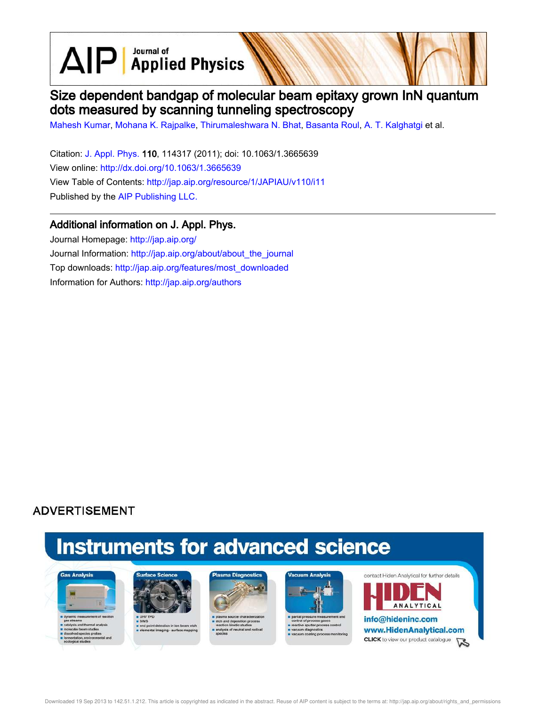$\text{AlP}$  Applied Physics

# Size dependent bandgap of molecular beam epitaxy grown InN quantum dots measured by scanning tunneling spectroscopy

Mahesh Kumar, Mohana K. Rajpalke, Thirumaleshwara N. Bhat, Basanta Roul, A. T. Kalghatgi et al.

Citation: J. Appl. Phys. 110, 114317 (2011); doi: 10.1063/1.3665639 View online: http://dx.doi.org/10.1063/1.3665639 View Table of Contents: http://jap.aip.org/resource/1/JAPIAU/v110/i11 Published by the AIP Publishing LLC.

## Additional information on J. Appl. Phys.

Journal Homepage: http://jap.aip.org/ Journal Information: http://jap.aip.org/about/about\_the\_journal Top downloads: http://jap.aip.org/features/most\_downloaded Information for Authors: http://jap.aip.org/authors

## **ADVERTISEMENT**

# **Instruments for advanced science**





s end point detection in ion bear<br>selemental imaging - surface m





re sputter pri cess control



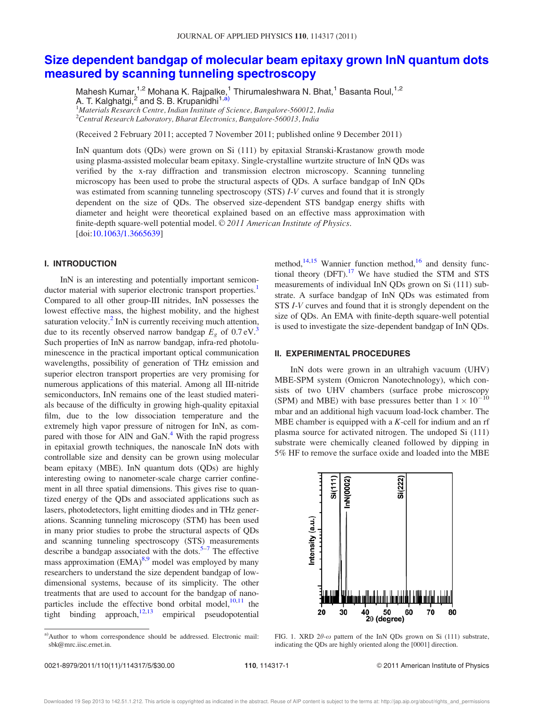## Size dependent bandgap of molecular beam epitaxy grown InN quantum dots measured by scanning tunneling spectroscopy

Mahesh Kumar,<sup>1,2</sup> Mohana K. Rajpalke,<sup>1</sup> Thirumaleshwara N. Bhat,<sup>1</sup> Basanta Roul,<sup>1,2</sup> A. T. Kalghatgi,<sup>2</sup> and S. B. Krupanidhi<sup>1,á)</sup>  $1$ Materials Research Centre, Indian Institute of Science, Bangalore-560012, India

 $2$ Central Research Laboratory, Bharat Electronics, Bangalore-560013, India

(Received 2 February 2011; accepted 7 November 2011; published online 9 December 2011)

InN quantum dots (QDs) were grown on Si (111) by epitaxial Stranski-Krastanow growth mode using plasma-assisted molecular beam epitaxy. Single-crystalline wurtzite structure of InN QDs was verified by the x-ray diffraction and transmission electron microscopy. Scanning tunneling microscopy has been used to probe the structural aspects of QDs. A surface bandgap of InN QDs was estimated from scanning tunneling spectroscopy (STS) *I-V* curves and found that it is strongly dependent on the size of QDs. The observed size-dependent STS bandgap energy shifts with diameter and height were theoretical explained based on an effective mass approximation with finite-depth square-well potential model. © 2011 American Institute of Physics. [doi:10.1063/1.3665639]

## I. INTRODUCTION

InN is an interesting and potentially important semiconductor material with superior electronic transport properties.<sup>1</sup> Compared to all other group-III nitrides, InN possesses the lowest effective mass, the highest mobility, and the highest saturation velocity. $^{2}$  InN is currently receiving much attention, due to its recently observed narrow bandgap  $E<sub>g</sub>$  of  $0.7 \text{ eV}^3$ . Such properties of InN as narrow bandgap, infra-red photoluminescence in the practical important optical communication wavelengths, possibility of generation of THz emission and superior electron transport properties are very promising for numerous applications of this material. Among all III-nitride semiconductors, InN remains one of the least studied materials because of the difficulty in growing high-quality epitaxial film, due to the low dissociation temperature and the extremely high vapor pressure of nitrogen for InN, as compared with those for AlN and GaN.<sup>4</sup> With the rapid progress in epitaxial growth techniques, the nanoscale InN dots with controllable size and density can be grown using molecular beam epitaxy (MBE). InN quantum dots (QDs) are highly interesting owing to nanometer-scale charge carrier confinement in all three spatial dimensions. This gives rise to quantized energy of the QDs and associated applications such as lasers, photodetectors, light emitting diodes and in THz generations. Scanning tunneling microscopy (STM) has been used in many prior studies to probe the structural aspects of QDs and scanning tunneling spectroscopy (STS) measurements describe a bandgap associated with the dots.<sup>5-7</sup> The effective mass approximation  $(EMA)^{8,9}$  model was employed by many researchers to understand the size dependent bandgap of lowdimensional systems, because of its simplicity. The other treatments that are used to account for the bandgap of nanoparticles include the effective bond orbital model,  $10,11$  the tight binding approach, $12,13$  empirical pseudopotential method, $^{14,15}$  Wannier function method, $^{16}$  and density functional theory  $(DFT)$ .<sup>17</sup> We have studied the STM and STS measurements of individual InN QDs grown on Si (111) substrate. A surface bandgap of InN QDs was estimated from STS I-V curves and found that it is strongly dependent on the size of QDs. An EMA with finite-depth square-well potential is used to investigate the size-dependent bandgap of InN QDs.

### II. EXPERIMENTAL PROCEDURES

InN dots were grown in an ultrahigh vacuum (UHV) MBE-SPM system (Omicron Nanotechnology), which consists of two UHV chambers (surface probe microscopy (SPM) and MBE) with base pressures better than  $1 \times 10^{-10}$ mbar and an additional high vacuum load-lock chamber. The MBE chamber is equipped with a  $K$ -cell for indium and an rf plasma source for activated nitrogen. The undoped Si (111) substrate were chemically cleaned followed by dipping in 5% HF to remove the surface oxide and loaded into the MBE



FIG. 1. XRD  $2\theta$ - $\omega$  pattern of the InN QDs grown on Si (111) substrate, indicating the QDs are highly oriented along the [0001] direction.

a)Author to whom correspondence should be addressed. Electronic mail: sbk@mrc.iisc.ernet.in.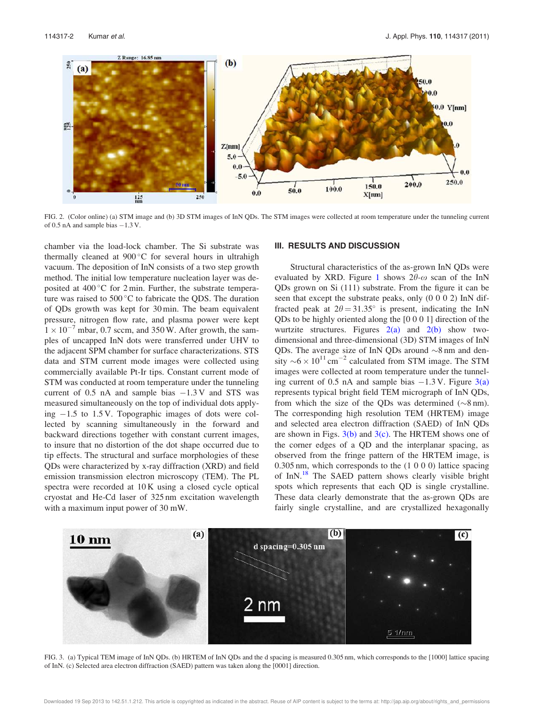

FIG. 2. (Color online) (a) STM image and (b) 3D STM images of InN QDs. The STM images were collected at room temperature under the tunneling current of 0.5 nA and sample bias  $-1.3$  V.

chamber via the load-lock chamber. The Si substrate was thermally cleaned at  $900^{\circ}$ C for several hours in ultrahigh vacuum. The deposition of InN consists of a two step growth method. The initial low temperature nucleation layer was deposited at  $400\degree$ C for 2 min. Further, the substrate temperature was raised to  $500\,^{\circ}\text{C}$  to fabricate the ODS. The duration of QDs growth was kept for 30 min. The beam equivalent pressure, nitrogen flow rate, and plasma power were kept  $1 \times 10^{-7}$  mbar, 0.7 sccm, and 350 W. After growth, the samples of uncapped InN dots were transferred under UHV to the adjacent SPM chamber for surface characterizations. STS data and STM current mode images were collected using commercially available Pt-Ir tips. Constant current mode of STM was conducted at room temperature under the tunneling current of  $0.5$  nA and sample bias  $-1.3$  V and STS was measured simultaneously on the top of individual dots applying  $-1.5$  to 1.5 V. Topographic images of dots were collected by scanning simultaneously in the forward and backward directions together with constant current images, to insure that no distortion of the dot shape occurred due to tip effects. The structural and surface morphologies of these QDs were characterized by x-ray diffraction (XRD) and field emission transmission electron microscopy (TEM). The PL spectra were recorded at 10 K using a closed cycle optical cryostat and He-Cd laser of 325 nm excitation wavelength with a maximum input power of 30 mW.

#### III. RESULTS AND DISCUSSION

Structural characteristics of the as-grown InN QDs were evaluated by XRD. Figure 1 shows  $2\theta$ - $\omega$  scan of the InN QDs grown on Si (111) substrate. From the figure it can be seen that except the substrate peaks, only (0 0 0 2) InN diffracted peak at  $2\theta = 31.35^{\circ}$  is present, indicating the InN QDs to be highly oriented along the [0 0 0 1] direction of the wurtzite structures. Figures  $2(a)$  and  $2(b)$  show twodimensional and three-dimensional (3D) STM images of InN QDs. The average size of InN QDs around  $\sim 8$  nm and density  $\sim 6 \times 10^{11}$  cm<sup>-2</sup> calculated from STM image. The STM images were collected at room temperature under the tunneling current of 0.5 nA and sample bias  $-1.3$  V. Figure 3(a) represents typical bright field TEM micrograph of InN QDs, from which the size of the QDs was determined  $(\sim 8 \text{ nm})$ . The corresponding high resolution TEM (HRTEM) image and selected area electron diffraction (SAED) of InN QDs are shown in Figs.  $3(b)$  and  $3(c)$ . The HRTEM shows one of the corner edges of a QD and the interplanar spacing, as observed from the fringe pattern of the HRTEM image, is 0.305 nm, which corresponds to the (1 0 0 0) lattice spacing of InN.<sup>18</sup> The SAED pattern shows clearly visible bright spots which represents that each QD is single crystalline. These data clearly demonstrate that the as-grown QDs are fairly single crystalline, and are crystallized hexagonally



FIG. 3. (a) Typical TEM image of InN QDs. (b) HRTEM of InN QDs and the d spacing is measured 0.305 nm, which corresponds to the [1000] lattice spacing of InN. (c) Selected area electron diffraction (SAED) pattern was taken along the [0001] direction.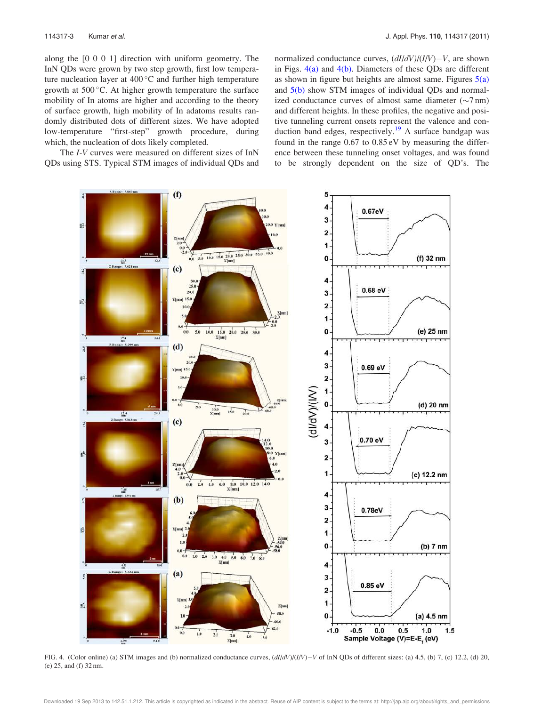along the [0 0 0 1] direction with uniform geometry. The InN QDs were grown by two step growth, first low temperature nucleation layer at  $400^{\circ}$ C and further high temperature growth at  $500^{\circ}$ C. At higher growth temperature the surface mobility of In atoms are higher and according to the theory of surface growth, high mobility of In adatoms results randomly distributed dots of different sizes. We have adopted low-temperature "first-step" growth procedure, during which, the nucleation of dots likely completed.

The I-V curves were measured on different sizes of InN QDs using STS. Typical STM images of individual QDs and

normalized conductance curves,  $\left(\frac{dI}{dV}\right)/(I/V) - V$ , are shown in Figs.  $4(a)$  and  $4(b)$ . Diameters of these QDs are different as shown in figure but heights are almost same. Figures  $5(a)$ and 5(b) show STM images of individual QDs and normalized conductance curves of almost same diameter  $(\sim 7 \text{ nm})$ and different heights. In these profiles, the negative and positive tunneling current onsets represent the valence and conduction band edges, respectively.<sup>19</sup> A surface bandgap was found in the range 0.67 to 0.85 eV by measuring the difference between these tunneling onset voltages, and was found to be strongly dependent on the size of QD's. The



FIG. 4. (Color online) (a) STM images and (b) normalized conductance curves,  $\frac{dI}{dV}$ ( $\frac{I}{l/V}$  of InN QDs of different sizes: (a) 4.5, (b) 7, (c) 12.2, (d) 20, (e) 25, and (f) 32 nm.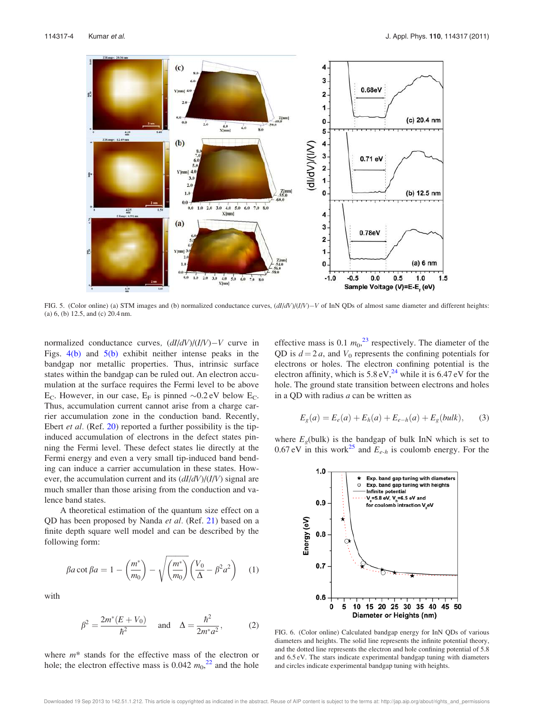

FIG. 5. (Color online) (a) STM images and (b) normalized conductance curves,  $(dI/dV)/(I/V) - V$  of InN QDs of almost same diameter and different heights: (a) 6, (b) 12.5, and (c) 20.4 nm.

normalized conductance curves,  $\frac{dI}{dV}\frac{dV}{dV} - V$  curve in Figs.  $4(b)$  and  $5(b)$  exhibit neither intense peaks in the bandgap nor metallic properties. Thus, intrinsic surface states within the bandgap can be ruled out. An electron accumulation at the surface requires the Fermi level to be above E<sub>C</sub>. However, in our case, E<sub>F</sub> is pinned  $\sim 0.2$  eV below E<sub>C</sub>. Thus, accumulation current cannot arise from a charge carrier accumulation zone in the conduction band. Recently, Ebert et al. (Ref. 20) reported a further possibility is the tipinduced accumulation of electrons in the defect states pinning the Fermi level. These defect states lie directly at the Fermi energy and even a very small tip-induced band bending can induce a carrier accumulation in these states. However, the accumulation current and its  $\left(\frac{dI}{dV}\right)/(I/V)$  signal are much smaller than those arising from the conduction and valence band states.

A theoretical estimation of the quantum size effect on a QD has been proposed by Nanda et al. (Ref. 21) based on a finite depth square well model and can be described by the following form:

$$
\beta a \cot \beta a = 1 - \left(\frac{m^*}{m_0}\right) - \sqrt{\left(\frac{m^*}{m_0}\right)} \left(\frac{V_0}{\Delta} - \beta^2 a^2\right) \quad (1)
$$

with

$$
\beta^2 = \frac{2m^*(E + V_0)}{\hbar^2} \quad \text{and} \quad \Delta = \frac{\hbar^2}{2m^*a^2},\tag{2}
$$

where  $m^*$  stands for the effective mass of the electron or hole; the electron effective mass is 0.042  $m_0^{22}$  and the hole

effective mass is 0.1  $m_0$ <sup>23</sup> respectively. The diameter of the QD is  $d = 2a$ , and  $V_0$  represents the confining potentials for electrons or holes. The electron confining potential is the electron affinity, which is  $5.8 \text{ eV}^{24}$  while it is 6.47 eV for the hole. The ground state transition between electrons and holes in a QD with radius  $a$  can be written as

$$
E_g(a) = E_e(a) + E_h(a) + E_{e-h}(a) + E_g(bulk), \quad (3)
$$

where  $E<sub>g</sub>(bulk)$  is the bandgap of bulk InN which is set to 0.67 eV in this work<sup>25</sup> and  $E_{e-h}$  is coulomb energy. For the



FIG. 6. (Color online) Calculated bandgap energy for InN QDs of various diameters and heights. The solid line represents the infinite potential theory, and the dotted line represents the electron and hole confining potential of 5.8 and 6.5 eV. The stars indicate experimental bandgap tuning with diameters and circles indicate experimental bandgap tuning with heights.